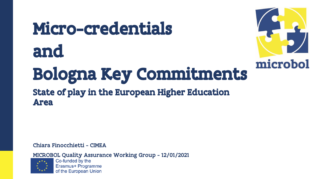# Micro-credentials and



## Bologna Key Commitments

#### State of play in the European Higher Education Area

Chiara Finocchietti - CIMEA

MICROBOL Quality Assurance Working Group - 12/01/2021



Co-funded by the Erasmus+ Programme of the European Union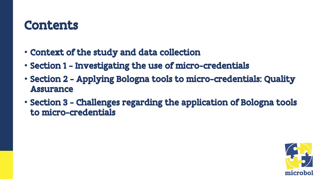### Contents

- Context of the study and data collection
- Section 1 Investigating the use of micro-credentials
- Section 2 Applying Bologna tools to micro-credentials: Quality Assurance
- Section 3 Challenges regarding the application of Bologna tools to micro-credentials

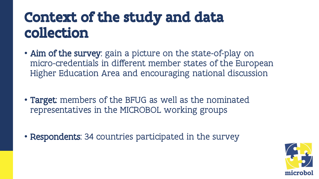### Context of the study and data collection

- Aim of the survey: gain a picture on the state-of-play on micro-credentials in different member states of the European Higher Education Area and encouraging national discussion
- Target: members of the BFUG as well as the nominated representatives in the MICROBOL working groups
- Respondents: 34 countries participated in the survey

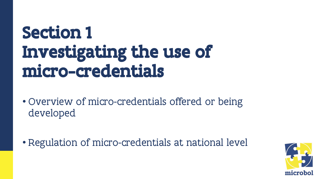## Section 1 Investigating the use of micro-credentials

- Overview of micro-credentials offered or being developed
- Regulation of micro-credentials at national level

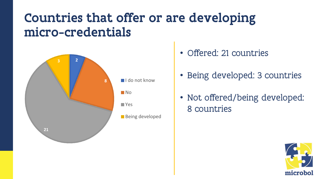### Countries that offer or are developing micro-credentials



- Offered: 21 countries
- Being developed: 3 countries
- Not offered/being developed: 8 countries

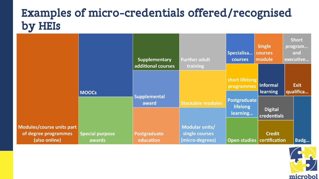### Examples of micro-credentials offered/recognised by HEIs

|                                                                    |                                  | <b>Supplementary</b>         | <b>Further adult</b>                                | Specialisa<br>courses                | <b>Single</b><br>courses<br>module | <b>Short</b><br>program<br>and<br>executive |
|--------------------------------------------------------------------|----------------------------------|------------------------------|-----------------------------------------------------|--------------------------------------|------------------------------------|---------------------------------------------|
|                                                                    | <b>MOOCS</b>                     | additional courses           | training                                            | short lifelong<br>programmes         | Informal<br><b>learning</b>        | <b>Exit</b><br>qualifica                    |
|                                                                    |                                  | <b>Supplemental</b><br>award | <b>Stackable modules</b>                            | Postgraduate<br>lifelong<br>learning | <b>Digital</b><br>credentials      |                                             |
| Modules/course units part<br>of degree programmes<br>(also online) | <b>Special purpose</b><br>awards | Postgraduate<br>education    | Modular units/<br>single courses<br>(micro-degrees) | Open studies                         | <b>Credit</b><br>certification     | Badg                                        |

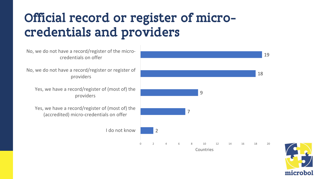### Official record or register of microcredentials and providers

No, we do not have a record/register of the microcredentials on offer

No, we do not have a record/register or register of providers

Yes, we have a record/register of (most of) the providers

Yes, we have a record/register of (most of) the (accredited) micro-credentials on offer

I do not know



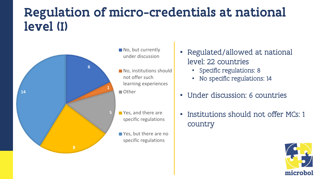### Regulation of micro-credentials at national level (I)



- No, but currently under discussion
- No, institutions should not offer such learning experiences **Other**
- Yes, and there are specific regulations
- Yes, but there are no specific regulations
- Regulated/allowed at national level: 22 countries
	- Specific regulations: 8
	- No specific regulations: 14
- Under discussion: 6 countries
- Institutions should not offer MCs: 1 country

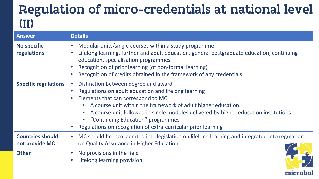### Regulation of micro-credentials at national level (II)

| <b>Answer</b>                             | <b>Details</b>                                                                                                                                                                                                                                                                                                                                                                                    |  |  |
|-------------------------------------------|---------------------------------------------------------------------------------------------------------------------------------------------------------------------------------------------------------------------------------------------------------------------------------------------------------------------------------------------------------------------------------------------------|--|--|
| <b>No specific</b><br>regulations         | Modular units/single courses within a study programme<br>Lifelong learning, further and adult education, general postgraduate education, continuing<br>$\bullet$<br>education, specialisation programmes<br>Recognition of prior learning (of non-formal learning)<br>Recognition of credits obtained in the framework of any credentials                                                         |  |  |
| <b>Specific regulations</b>               | Distinction between degree and award<br>Regulations on adult education and lifelong learning<br>Elements that can correspond to MC<br>A course unit within the framework of adult higher education<br>A course unit followed in single modules delivered by higher education institutions<br>• "Continuing Education" programmes<br>Regulations on recognition of extra-curricular prior learning |  |  |
| <b>Countries should</b><br>not provide MC | MC should be incorporated into legislation on lifelong learning and integrated into regulation<br>on Quality Assurance in Higher Education                                                                                                                                                                                                                                                        |  |  |
| <b>Other</b>                              | No provisions in the field<br>Lifelong learning provision                                                                                                                                                                                                                                                                                                                                         |  |  |

microbo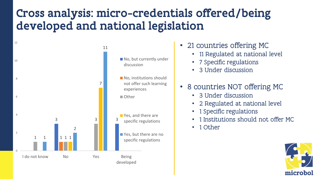### Cross analysis: micro-credentials offered/being developed and national legislation



- 21 countries offering MC
	- 11 Regulated at national level
	- 7 Specific regulations
	- 3 Under discussion
- 8 countries NOT offering MC
	- 3 Under discussion
	- 2 Regulated at national level
	- 1 Specific regulations
	- 1 Institutions should not offer MC
	- 1 Other

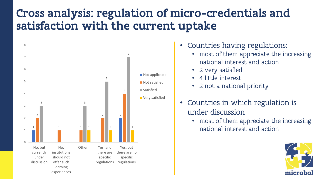### Cross analysis: regulation of micro-credentials and satisfaction with the current uptake



- Countries having regulations:
	- most of them appreciate the increasing national interest and action
	- 2 very satisfied
	- 4 little interest
	- 2 not a national priority
- Countries in which regulation is under discussion
	- most of them appreciate the increasing

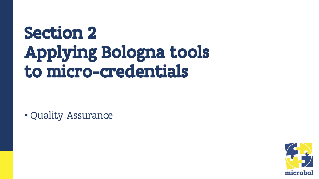## Section 2 Applying Bologna tools to micro-credentials

• Quality Assurance

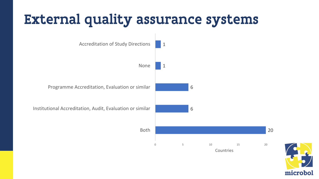### External quality assurance systems



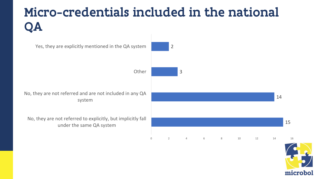### Micro-credentials included in the national QA

15 14 3 2 No, they are not referred to explicitly, but implicitly fall under the same QA system No, they are not referred and are not included in any QA system **Other** Yes, they are explicitly mentioned in the QA system 0 2 4 6 8 10 12 14 16

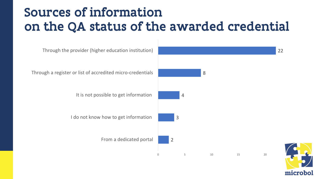### Sources of information on the QA status of the awarded credential



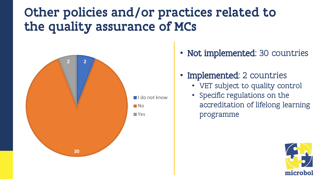### Other policies and/or practices related to the quality assurance of MCs



- Not implemented: 30 countries
- **Implemented**: 2 countries
	- VET subject to quality control
	- Specific regulations on the accreditation of lifelong learning programme

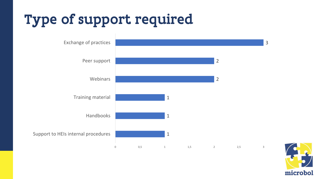### Type of support required



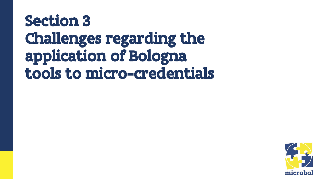### Section 3 Challenges regarding the application of Bologna tools to micro-credentials

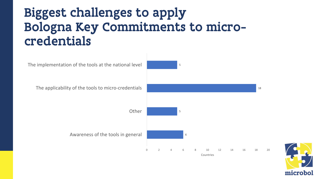### Biggest challenges to apply Bologna Key Commitments to microcredentials



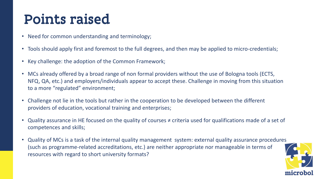### Points raised

- Need for common understanding and terminology;
- Tools should apply first and foremost to the full degrees, and then may be applied to micro-credentials;
- Key challenge: the adoption of the Common Framework;
- MCs already offered by a broad range of non formal providers without the use of Bologna tools (ECTS, NFQ, QA, etc.) and employers/individuals appear to accept these. Challenge in moving from this situation to a more "regulated" environment;
- Challenge not lie in the tools but rather in the cooperation to be developed between the different providers of education, vocational training and enterprises;
- Quality assurance in HE focused on the quality of courses ≠ criteria used for qualifications made of a set of competences and skills;
- Quality of MCs is a task of the internal quality management system: external quality assurance procedures (such as programme-related accreditations, etc.) are neither appropriate nor manageable in terms of resources with regard to short university formats?